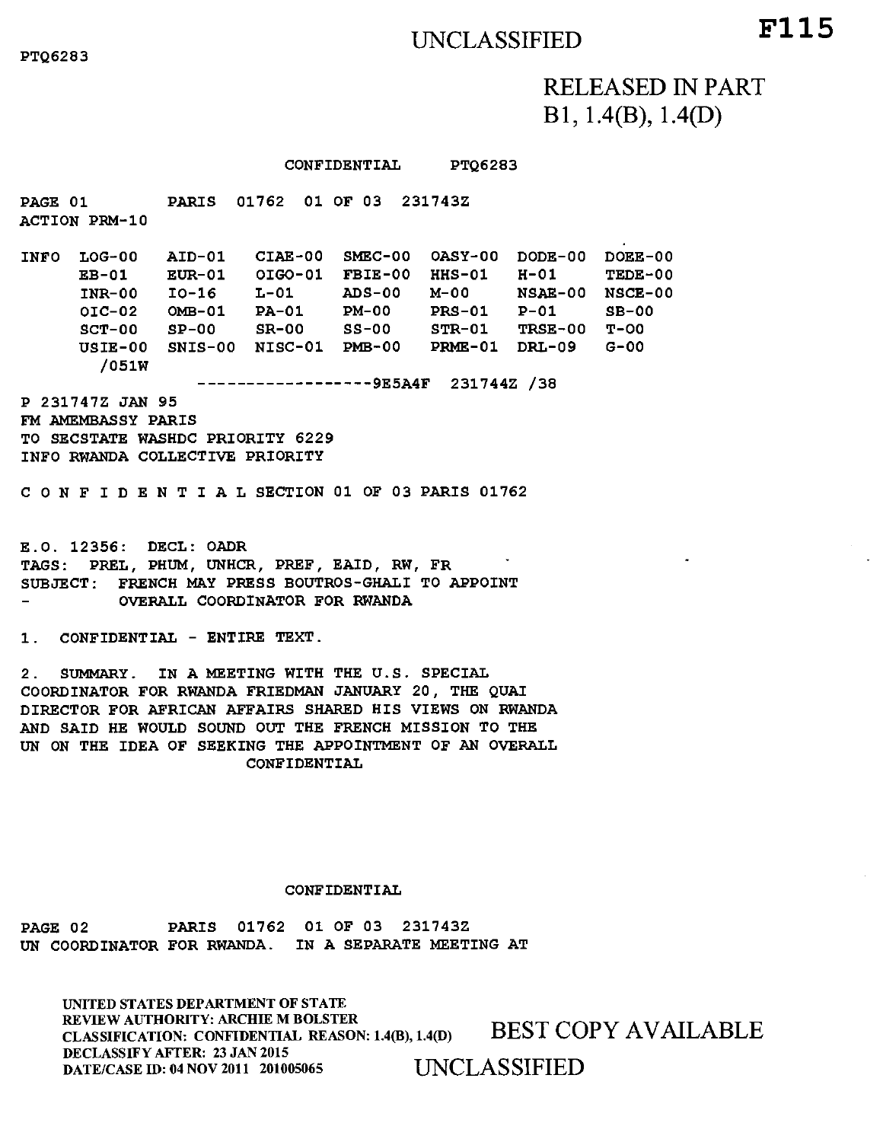# UNCLASSIFIED **F115**

RELEASED IN PART B 1 , 1.4(B), 1.4(D)

#### CONFIDENTIAL PTQ6283

PAGE 01 PARIS 01762 01 OF 03 231743Z ACTION PRM-10 INFO LOG-00 AID-01 CIAE-00 SMEC-00 OASY-00 DODE-00 DOEE-00 EB-01 EUR-01 OIGO-01 FBIE-00 HHS-01 H-01 TEDE-00 INR-00 10-16 L-01 ADS-00 M-00 NSAE-00 NSCE-00 01C-02 OMB-01 PA-01 PM-00 PRS-01 P-01 SB-00 SCT-00 SP-00 SR-00 SS-00 STR-01 TRSE-00 T-00 USIE-00 SNIS-00 NISC-01 PMB-00 PRME-01 DRL-09 G-00 /051W ----------**-------9E5A4F** 231744Z /38 P 231747Z JAN 95 FM AMEMBASSY PARIS TO SECSTATE WASHDC PRIORITY 6229 INFO RWANDA COLLECTIVE PRIORITY CONFIDENTIALSECTION 01 OF 03 PARIS 01762 E.O. 12356: DECL: OADR TAGS: PREL, PHUM, UNHCR, PREF, EAID, RW, FR SUBJECT: FRENCH MAY PRESS BOUTROS-GHALI TO APPOINT OVERALL COORDINATOR FOR RWANDA

1. CONFIDENTIAL - ENTIRE TEXT.

2. SUMMARY. IN A MEETING WITH THE U.S. SPECIAL COORDINATOR FOR RWANDA FRIEDMAN JANUARY 20, THE QUAI DIRECTOR FOR AFRICAN AFFAIRS SHARED HIS VIEWS ON RWANDA AND SAID HE WOULD SOUND OUT THE FRENCH MISSION TO THE UN ON THE IDEA OF SEEKING THE APPOINTMENT OF AN OVERALL CONFIDENTIAL

#### CONFIDENTIAL

PAGE 02 PARIS 01762 01 OF 03 231743Z UN COORDINATOR FOR RWANDA. IN A SEPARATE MEETING AT

UNITED STATES DEPARTMENT OF STATE REVIEW AUTHORITY: ARCHIE M BOLSTER REVIEW AUTHORITY: ARCHIE M BOLSTER<br>CLASSIFICATION: CONFIDENTIAL REASON: 1.4(B), 1.4(D) BEST COPY AVAILABLE DECLASSIFY AFTER: 23 JAN 2015 DATE/CASE ID: 04 NOV 2011 201005065 UNCLASSIFIED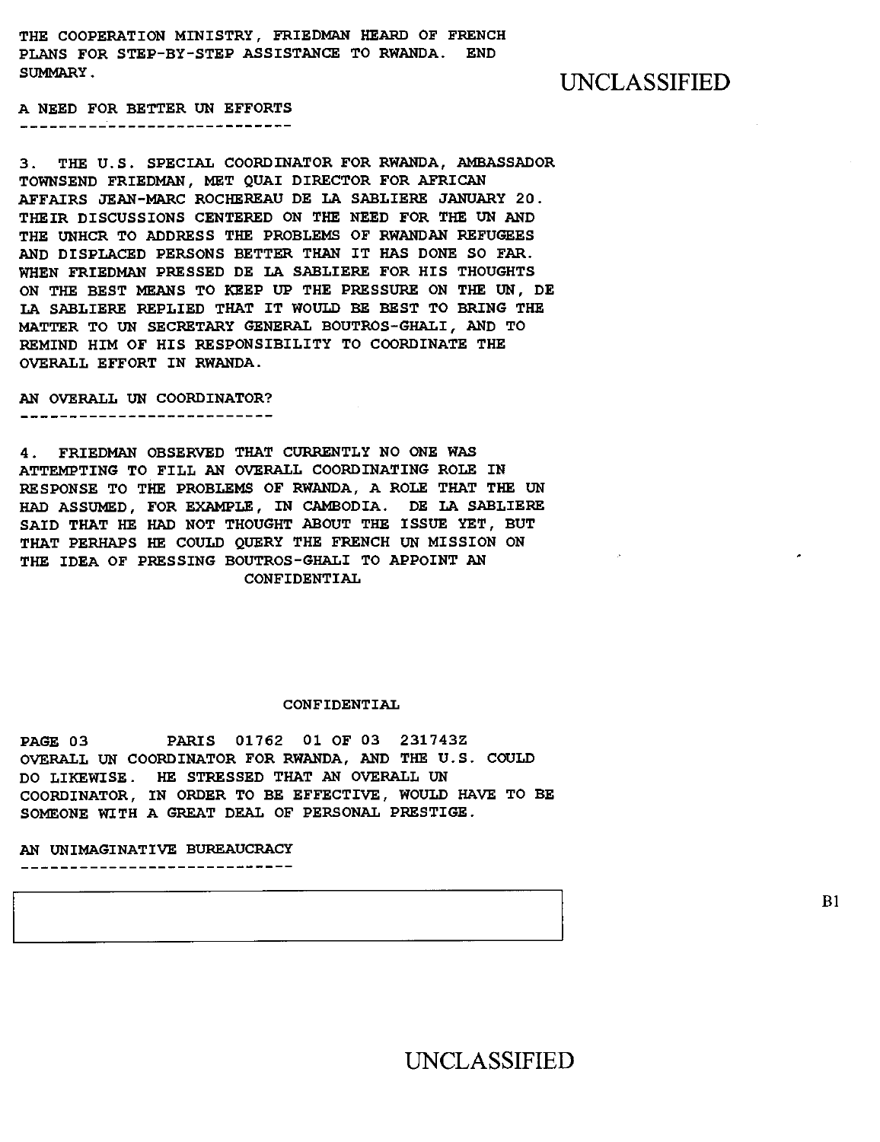**THE COOPERATION MINISTRY, FRIEDMAN HEARD OF FRENCH PLANS FOR STEP-BY-STEP ASSISTANCE TO RWANDA. END SUMMARY.** UNCLASSIFIED

**A NEED FOR BETTER UN EFFORTS**  \_\_\_\_\_\_\_\_\_\_\_\_\_\_\_\_\_\_\_\_\_\_\_\_

**3. THE U.S. SPECIAL COORDINATOR FOR RWANDA, AMBASSADOR TOWNSEND FRIEDMAN, MET QUAI DIRECTOR FOR AFRICAN AFFAIRS JEAN-MARC ROCHEREAU DE LA SABLIERE JANUARY 20. THEIR DISCUSSIONS CENTERED ON THE NEED FOR THE UN AND THE UNHCR TO ADDRESS THE PROBLEMS OF RWANDAN REFUGEES AND DISPLACED PERSONS BETTER THAN IT HAS DONE SO FAR. WHEN FRIEDMAN PRESSED DE LA SABLIERE FOR HIS THOUGHTS ON THE BEST MEANS TO KEEP UP THE PRESSURE ON THE UN, DE LA SABLIERE REPLIED THAT IT WOULD BE BEST TO BRING THE MATTER TO UN SECRETARY GENERAL BOUTROS-GHALI, AND TO REMIND HIM OF HIS RESPONSIBILITY TO COORDINATE THE OVERALL EFFORT IN RWANDA.** 

**AN OVERALL UN COORDINATOR?**  --------------------------

**4. FRIEDMAN OBSERVED THAT CURRENTLY NO ONE WAS ATTEMPTING TO FILL AN OVERALL COORDINATING ROLE IN RESPONSE TO THE PROBLEMS OF RWANDA, A ROLE THAT THE UN HAD ASSUMED, FOR EXAMPLE, IN CAMBODIA. DE LA SABLIERE SAID THAT HE HAD NOT THOUGHT ABOUT THE ISSUE YET, BUT THAT PERHAPS HE COULD QUERY THE FRENCH UN MISSION ON THE IDEA OF PRESSING BOUTROS-GHALI TO APPOINT AN CONFIDENTIAL** 

#### **CONFIDENTIAL**

**PAGE 03 PARIS 01762 01 OF 03 231743Z OVERALL UN COORDINATOR FOR RWANDA, AND THE U.S. COULD DO LIKEWISE. HE STRESSED THAT AN OVERALL UN COORDINATOR, IN ORDER TO BE EFFECTIVE, WOULD HAVE TO BE SOMEONE WITH A GREAT DEAL OF PERSONAL PRESTIGE.** 

**AN UNIMAGINATIVE BUREAUCRACY** 

\_\_\_\_\_\_\_\_\_\_\_\_\_\_\_\_\_\_\_\_\_\_\_\_\_\_\_\_\_\_\_

UNCLASSIFIED

 $B1$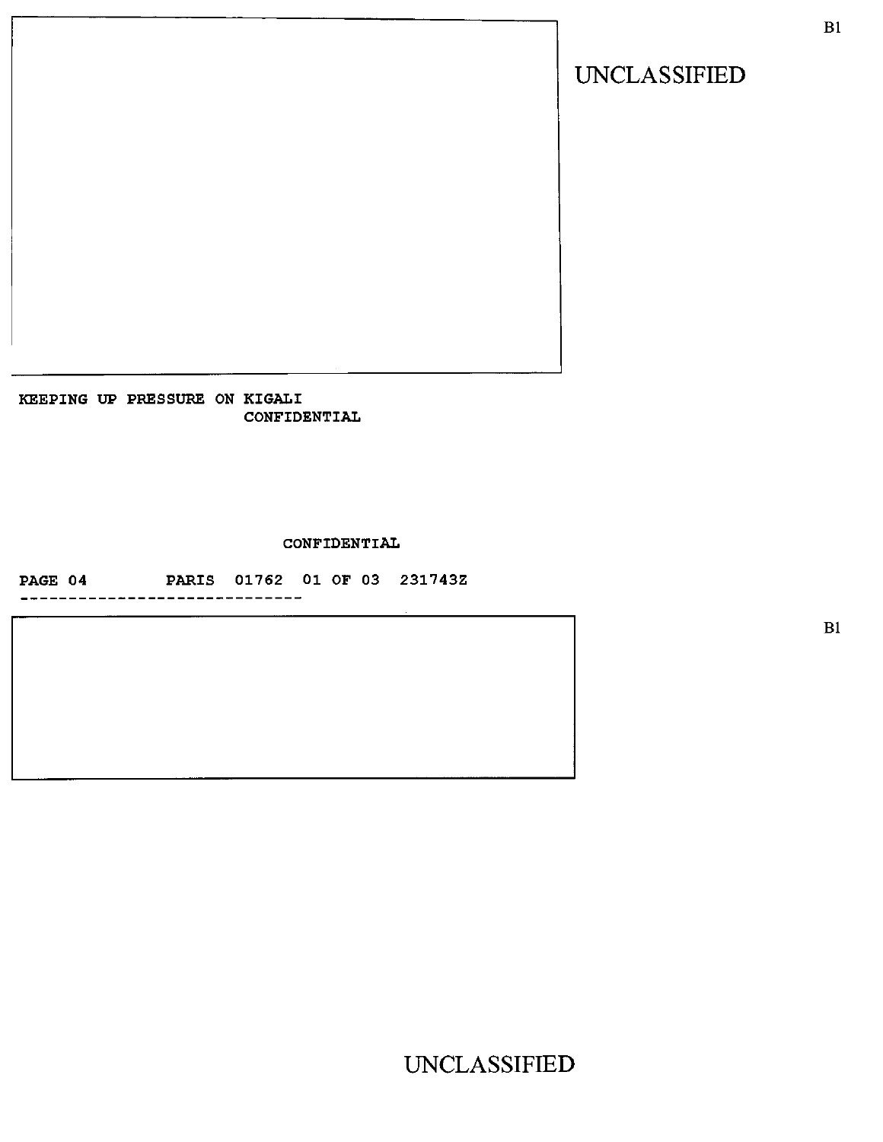KEEPING UP PRESSURE ON KIGALI CONFIDENTIAL

CONFIDENTIAL

PAGE 04 PARIS 01762 01 OF 03 231743Z

-----------------------------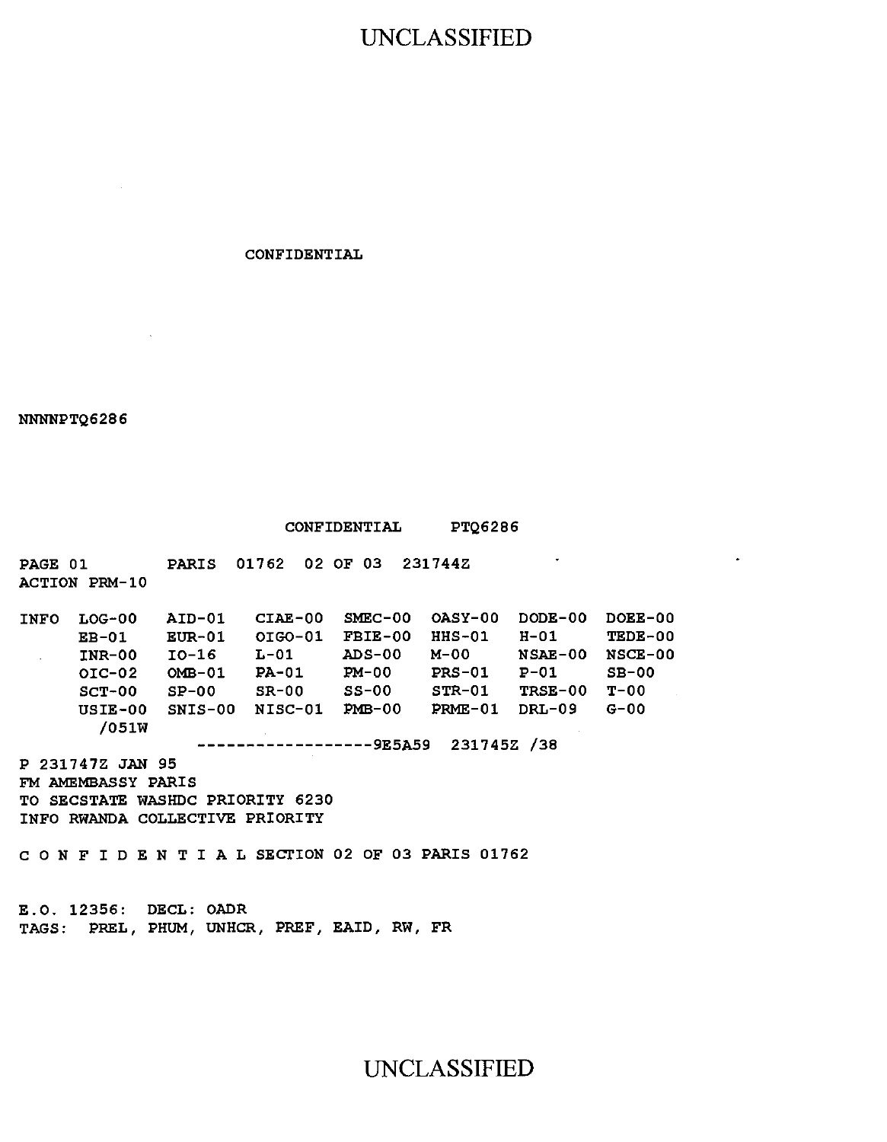## UNCLASSIFIED

CONFIDENTIAL

#### NNNNPTQ6286

#### CONFIDENTIAL PTQ6286

 $\bullet$ 

PAGE 01 PARIS 01762 02 OF 03 231744Z ACTION PRM-10 INFO LOG-00 AID-01 CIAE-00 SMEC-00 OASY-00 DODE-00 DOEE-00 EB-01 EUR-01 OIGO-01 FBIE-00 HHS-01 H-01 TEDE-00<br>INR-00 IO-16 L-01 ADS-00 M-00 NSAE-00 NSCE-00  $INR-00$  10-16 L-01 ADS-00 M-00 01C-02 OMB-01 PA-01 PM-00 PRS-01 P-01 SB-00 SCT-00 SP-00 SR-00 SS-00 STR-01 TRSE-00 T-00 USIE-00 SNIS-00 NISC-01 PMB-00 PRME-01 DRL-09 G-00 /051W ----------------9E5A59 231745Z /38 P 231747Z JAN 95 FM AMEMBASSY PARIS TO SECSTATE WASHDC PRIORITY 6230 INFO RWANDA COLLECTIVE PRIORITY CONFIDENTIALSECTION 02 OF 03 PARIS 01762

E.O. 12356: DECL: OADR TAGS: PREL, PHUM, UNHCR, PREF, EAID, RW, FR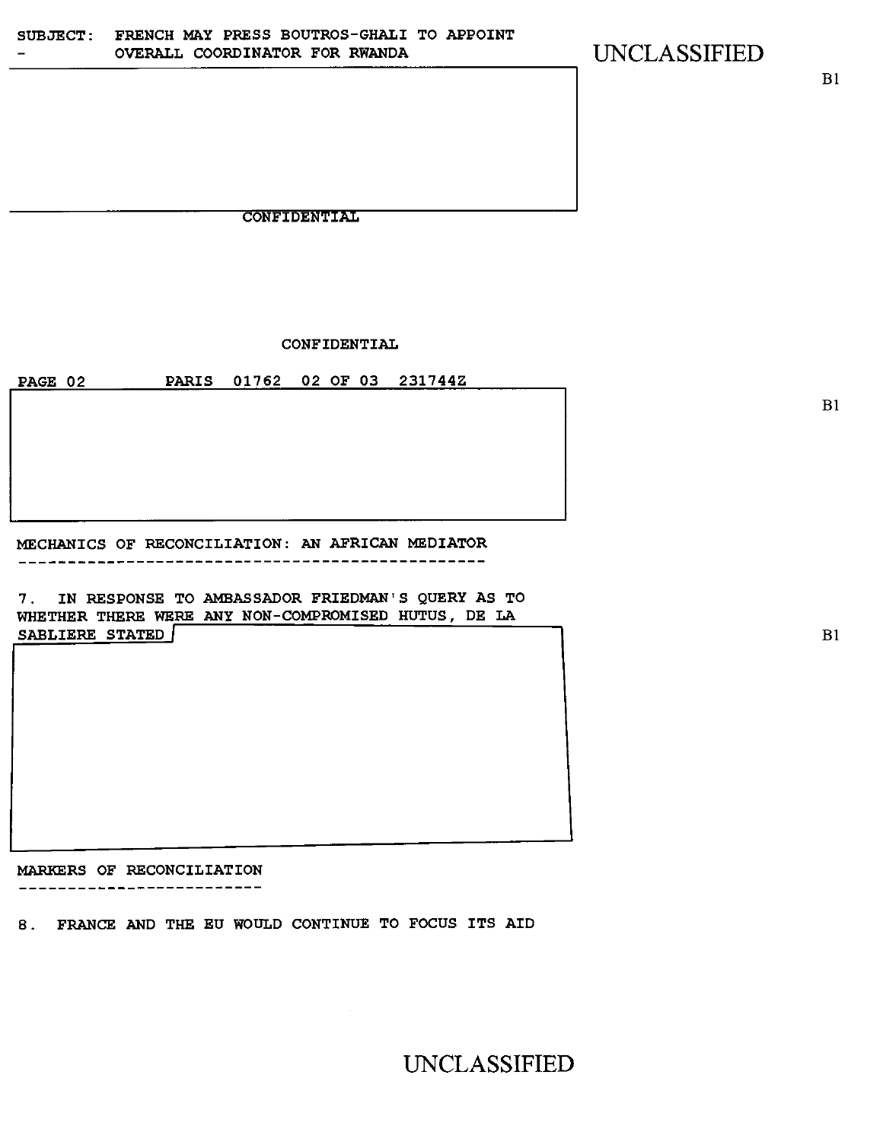CONFIDENTIAL

CONFIDENTIAL

PAGE 02 PARIS 01762 02 OF 03 231744Z

MECHANICS OF RECONCILIATION: AN AFRICAN MEDIATOR

7. IN RESPONSE TO AMBASSADOR FRIEDMAN'S QUERY AS TO WHETHER THERE WERE ANY NON-COMPROMISED HUTUS, DE LA SABLIERE STATED B1

MARKERS OF RECONCILIATION ------**--------------**-

8. FRANCE AND THE EU WOULD CONTINUE TO FOCUS ITS AID

UNCLASSIFIED

B1

B1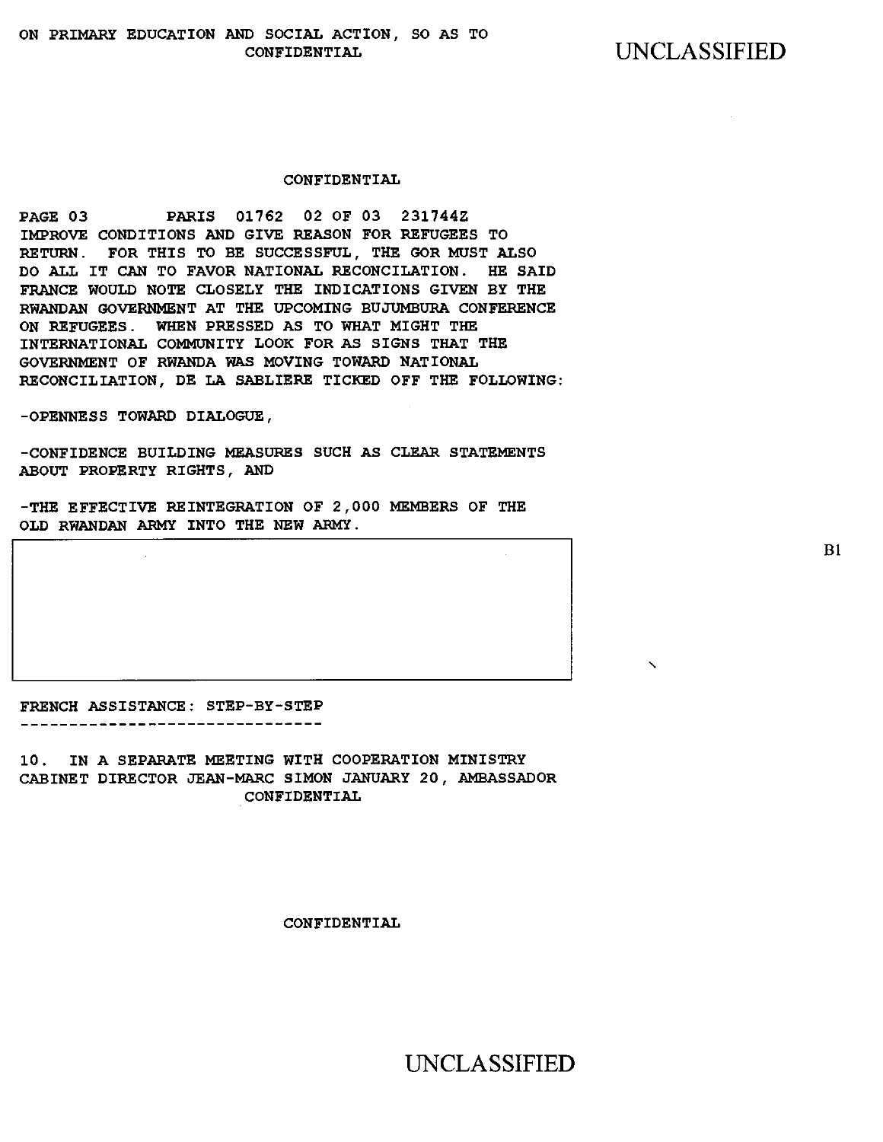#### CONFIDENTIAL

PAGE 03 PARIS 01762 02 OF 03 231744Z IMPROVE CONDITIONS AND GIVE REASON FOR REFUGEES TO RETURN. FOR THIS TO BE SUCCESSFUL, THE GOR MUST ALSO DO ALL IT CAN TO FAVOR NATIONAL RECONCILATION. HE SAID FRANCE WOULD NOTE CLOSELY THE INDICATIONS GIVEN BY THE RWANDAN GOVERNMENT AT THE UPCOMING BUJUMBURA CONFERENCE ON REFUGEES. WHEN PRESSED AS TO WHAT MIGHT THE INTERNATIONAL COMMUNITY LOOK FOR AS SIGNS THAT THE GOVERNMENT OF RWANDA WAS MOVING TOWARD NATIONAL RECONCILIATION, DE LA SABLIERE TICKED OFF THE FOLLOWING:

-OPENNESS TOWARD DIALOGUE,

-CONFIDENCE BUILDING MEASURES SUCH AS CLEAR STATEMENTS ABOUT PROPERTY RIGHTS, AND

-THE EFFECTIVE REINTEGRATION OF 2,000 MEMBERS OF THE OLD RWANDAN ARMY INTO THE NEW ARMY.

FRENCH ASSISTANCE: STEP-BY-STEP ------**------------------------**

10. IN A SEPARATE MEETING WITH COOPERATION MINISTRY CABINET DIRECTOR JEAN-MARC SIMON JANUARY 20, AMBASSADOR CONFIDENTIAL

CONFIDENTIAL

UNCLASSIFIED

 $B1$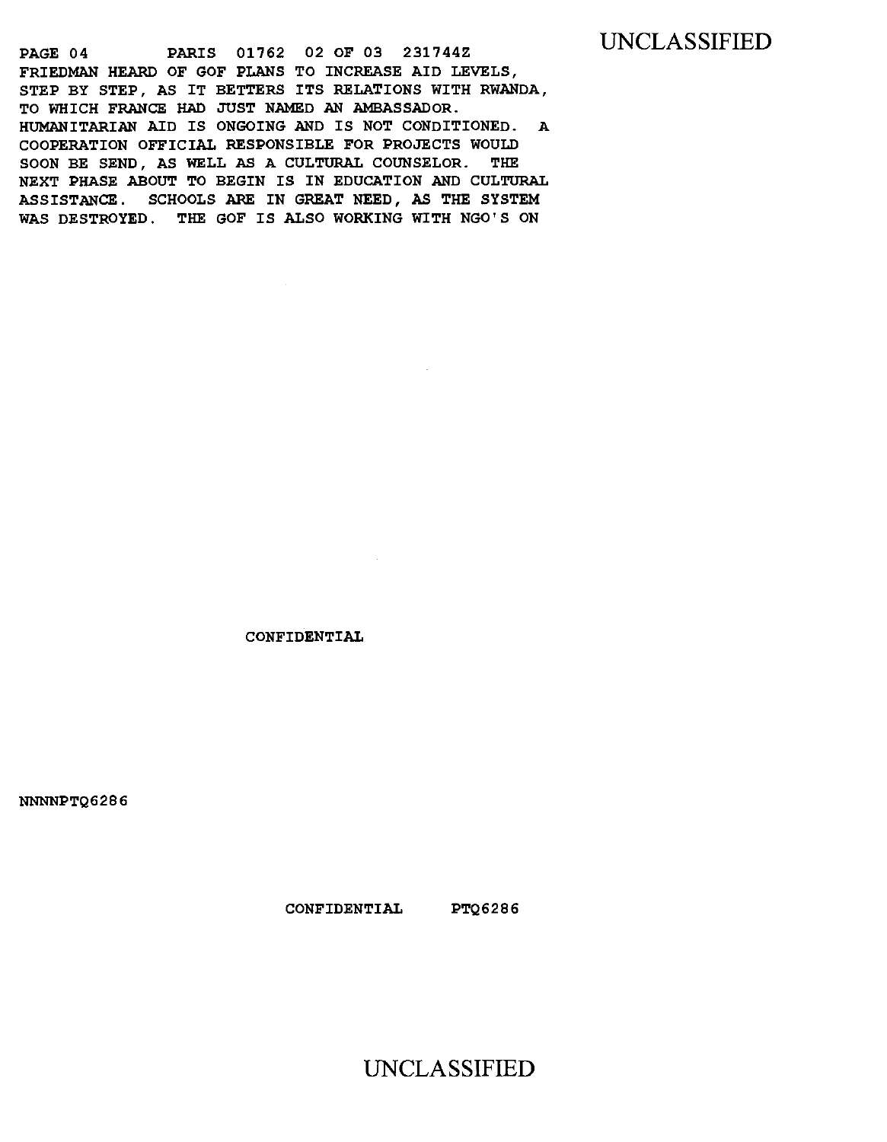### UNCLASSIFIED

PAGE 04 PARIS 01762 02 OF 03 231744Z FRIEDMAN HEARD OF GOF PLANS TO INCREASE AID LEVELS, STEP BY STEP, AS IT BETTERS ITS RELATIONS WITH RWANDA, TO WHICH FRANCE HAD JUST NAMED AN AMBASSADOR. HUMANITARIAN AID IS ONGOING AND IS NOT CONDITIONED. A COOPERATION OFFICIAL RESPONSIBLE FOR PROJECTS WOULD SOON BE SEND, AS WELL AS A CULTURAL COUNSELOR. THE NEXT PHASE ABOUT TO BEGIN IS IN EDUCATION AND CULTURAL ASSISTANCE. SCHOOLS ARE IN GREAT **NEED, AS THE SYSTEM WAS DESTROYED. THE GOF IS ALSO WORKING WITH NGO'S ON** 

CONFIDENTIAL

NNNNPTQ6286

**CONFIDENTIAL PTQ6286**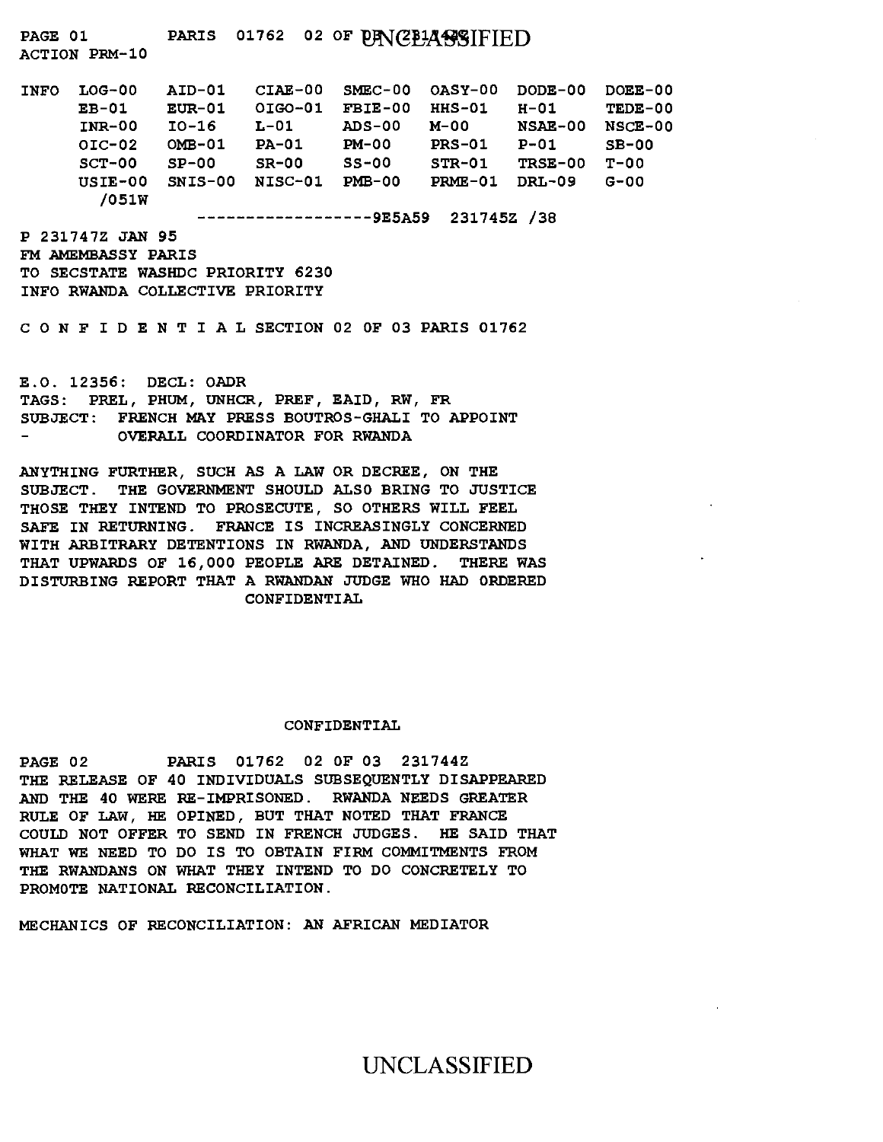PAGE 01 PARIS 01762 02 OF PANCELASSIFIED

ACTION PRM-10

| <b>INFO</b> | $LOG-00$  | AID-01    | $CIAE-00$    | $SMEC-00$ $OASY-00$ |           | DODE-00        | DOEE-00  |
|-------------|-----------|-----------|--------------|---------------------|-----------|----------------|----------|
|             | $EB-01$   | $EUR-01$  | OIGO-01      | FBIE-00             | $HHS-01$  | H-01           | TEDE-00  |
|             | INR-00    | IO-16     | $L-01$       | ADS-00              | м-оо      | <b>NSAE-00</b> | $NGE-00$ |
|             | $OIC-02$  | $OMB-01$  | <b>PA-01</b> | <b>PM-00</b>        | $PRS-01$  | $P-01$         | $SB-00$  |
|             | $SCT-00$  | $SP-00$   | $SR-00$      | $SS-00$             | $STR-01$  | TRSE-00        | T-00     |
|             | $USIE-00$ | $SNIS-00$ | NISC-01      | $PMB-00$            | $PRME-01$ | DRL-09         | G-00     |
|             | /051W     |           |              |                     |           |                |          |

---------------9E5A59 231745Z /38

P 231747Z JAN 95 FM AMEMBASSY PARIS TO SECSTATE WASHDC PRIORITY 6230 INFO RWANDA COLLECTIVE PRIORITY

CONFIDENTIALSECTION 02 OF 03 PARIS 01762

E.O. 12356: DECL: OADR TAGS: PREL, PHUM, UNHCR, PREF, EAID, RW, FR SUBJECT: FRENCH MAY PRESS BOUTROS-GHALI TO APPOINT OVERALL COORDINATOR FOR RWANDA

ANYTHING FURTHER, SUCH AS A LAW OR DECREE, ON THE SUBJECT. THE GOVERNMENT SHOULD ALSO BRING TO JUSTICE THOSE THEY INTEND TO PROSECUTE, SO OTHERS WILL FEEL SAFE IN RETURNING. FRANCE IS INCREASINGLY CONCERNED WITH ARBITRARY DETENTIONS IN RWANDA, AND UNDERSTANDS THAT UPWARDS OF 16,000 PEOPLE ARE DETAINED. THERE WAS DISTURBING REPORT THAT A RWANDAN JUDGE WHO HAD ORDERED CONFIDENTIAL

#### CONFIDENTIAL

PAGE 02 PARIS 01762 02 OF 03 231744Z THE RELEASE OF 40 INDIVIDUALS SUBSEQUENTLY DISAPPEARED AND THE 40 WERE RE-IMPRISONED. RWANDA NEEDS GREATER RULE OF LAW, HE OPINED, BUT THAT NOTED THAT FRANCE COULD NOT OFFER TO SEND IN FRENCH JUDGES. HE SAID THAT WHAT WE NEED TO DO IS TO OBTAIN FIRM COMMITMENTS FROM THE RWANDANS ON WHAT THEY INTEND TO DO CONCRETELY TO PROMOTE NATIONAL RECONCILIATION.

MECHANICS OF RECONCILIATION: AN AFRICAN MEDIATOR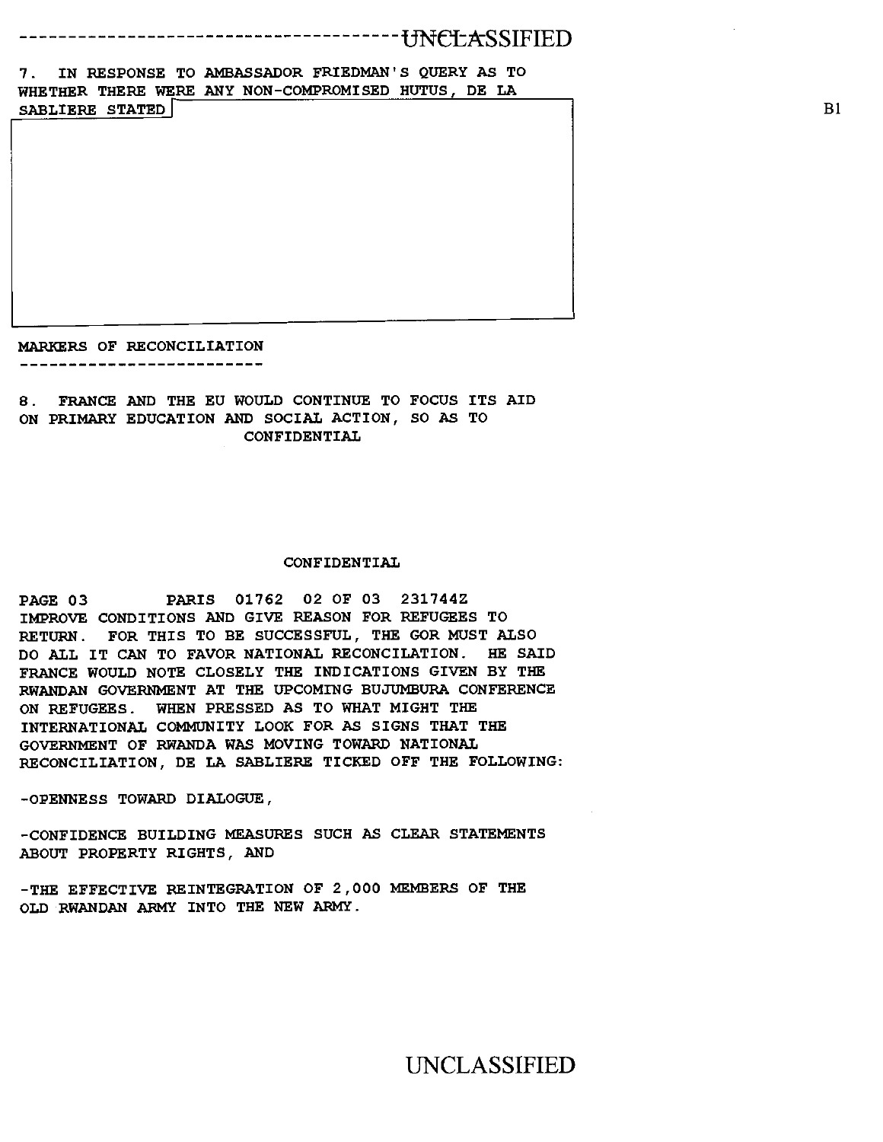--------tJN<del>C</del>LASSIFIED

7. IN RESPONSE TO AMBASSADOR FRIEDMAN'S QUERY AS TO WHETHER THERE WERE ANY NON-COMPROMISED HUTUS, DE LA

SABLIERE STATED

MARKERS OF RECONCILIATION ------------------------------

8. FRANCE AND THE EU WOULD CONTINUE TO FOCUS ITS AID ON PRIMARY EDUCATION AND SOCIAL ACTION, SO AS TO CONFIDENTIAL

#### CONFIDENTIAL

PAGE 03 PARIS 01762 02 OF 03 231744Z IMPROVE CONDITIONS AND GIVE REASON FOR REFUGEES TO RETURN. FOR THIS TO BE SUCCESSFUL, THE GOR MUST ALSO DO ALL IT CAN TO FAVOR NATIONAL RECONCILATION. HE SAID FRANCE WOULD NOTE CLOSELY THE INDICATIONS GIVEN BY THE RWANDAN GOVERNMENT AT THE UPCOMING BUJUMBURA CONFERENCE ON REFUGEES. WHEN PRESSED AS TO WHAT MIGHT THE INTERNATIONAL COMMUNITY LOOK FOR AS SIGNS THAT THE GOVERNMENT OF RWANDA WAS MOVING TOWARD NATIONAL RECONCILIATION, DE LA SABLIERE TICKED OFF THE FOLLOWING:

-OPENNESS TOWARD DIALOGUE,

-CONFIDENCE BUILDING MEASURES SUCH AS CLEAR STATEMENTS ABOUT PROPERTY RIGHTS, AND

-THE EFFECTIVE REINTEGRATION OF 2,000 MEMBERS OF THE OLD RWANDAN ARMY INTO THE NEW ARMY.

B1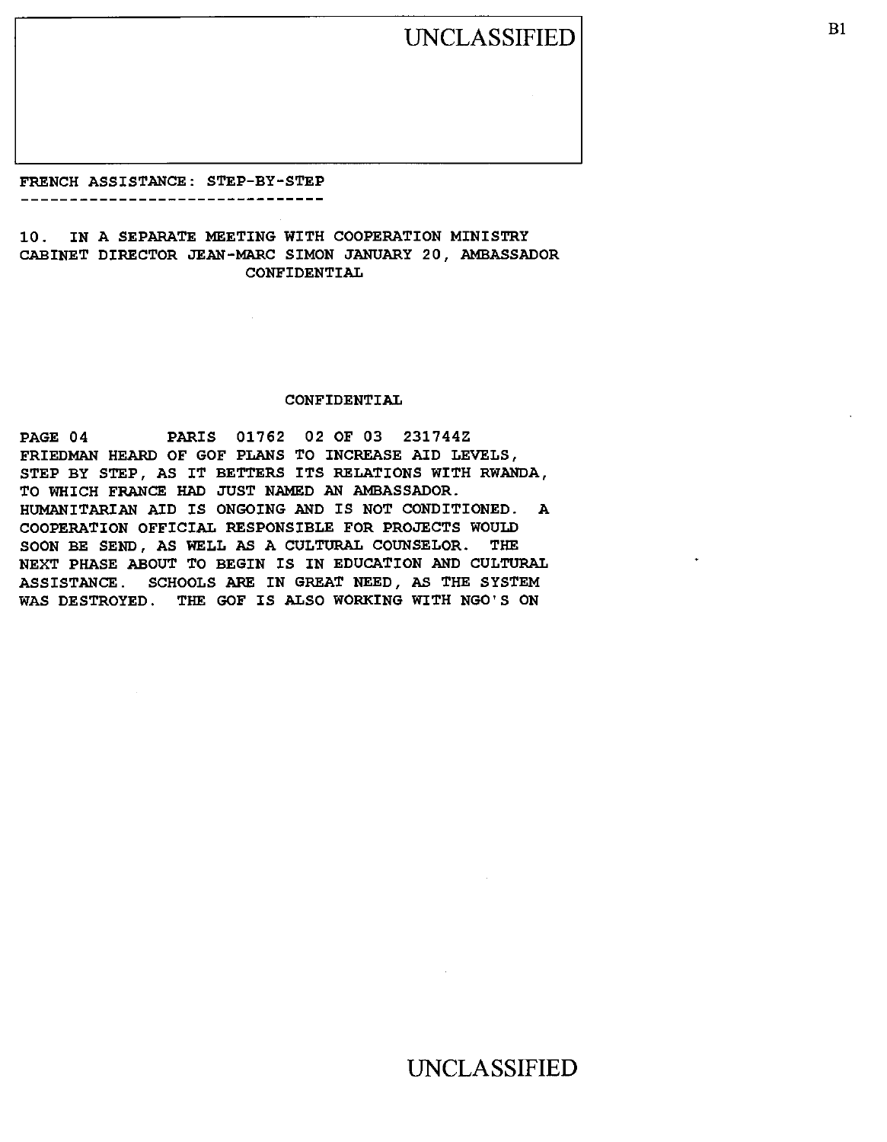UNCLASSIFIED B1

FRENCH ASSISTANCE: STEP-BY-STEP -----------------------------

10. IN A SEPARATE MEETING WITH COOPERATION MINISTRY CABINET DIRECTOR JEAN-MARC SIMON JANUARY 20, AMBASSADOR CONFIDENTIAL

#### CONFIDENTIAL

PAGE 04 PARIS 01762 02 OF 03 231744Z FRIEDMAN HEARD OF GOF PLANS TO INCREASE AID LEVELS, STEP BY STEP, AS IT BETTERS ITS RELATIONS WITH RWANDA, TO WHICH FRANCE HAD JUST NAMED AN AMBASSADOR. HUMANITARIAN AID IS ONGOING AND IS NOT CONDITIONED. A COOPERATION OFFICIAL RESPONSIBLE FOR PROJECTS WOULD SOON BE SEND, AS WELL AS A CULTURAL COUNSELOR. THE NEXT PHASE ABOUT TO BEGIN IS IN EDUCATION AND CULTURAL ASSISTANCE. SCHOOLS ARE IN GREAT NEED, AS THE SYSTEM WAS DESTROYED. THE GOF IS ALSO WORKING WITH NGO'S ON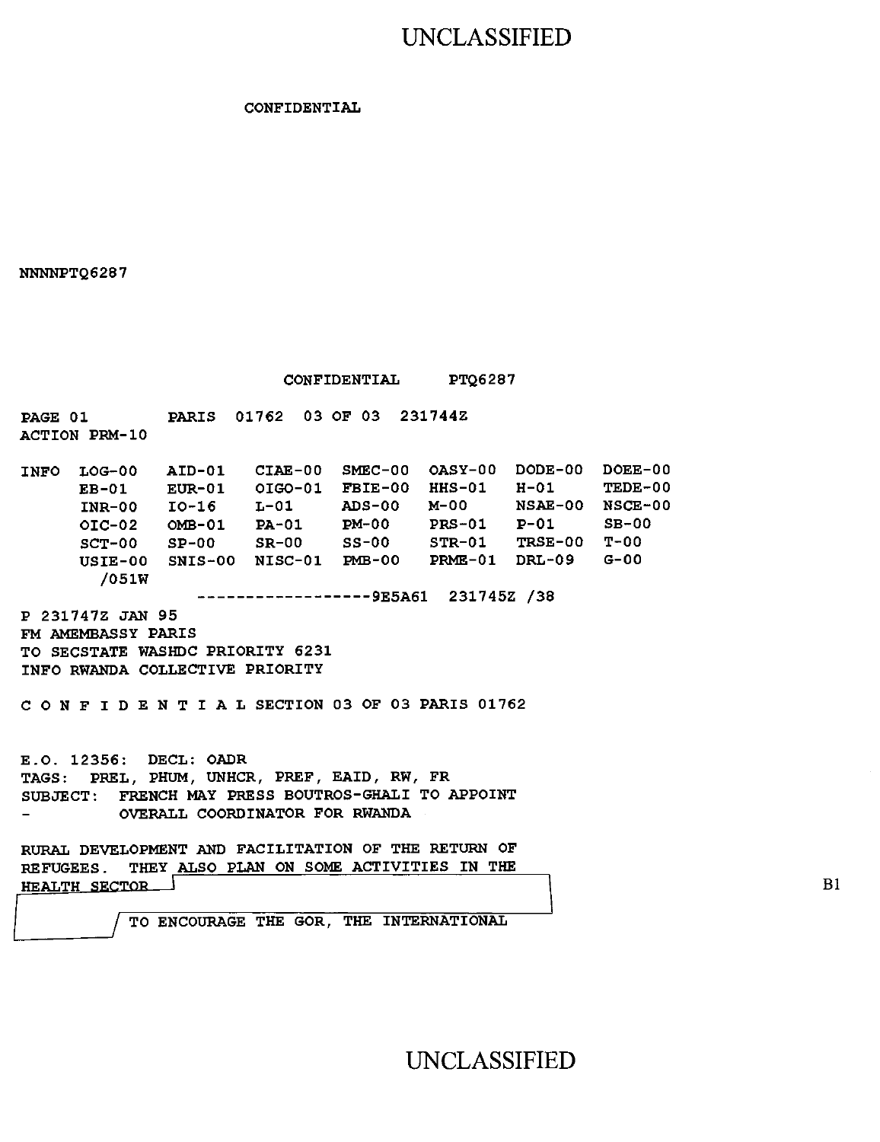## UNCLASSIFIED

#### **CONFIDENTIAL**

**NNNNPTQ6287** 

**CONFIDENTIAL PTQ6287** 

**PAGE 01 PARIS 01762 03 OF 03 231744Z ACTION PRM-10** 

**INFO LOG-00 AID-01 CIAE-00 SMEC-00 OASY-00 DODE-00 DOEE-00 EB-01 EUR-01 OIGO-01 FBIE-00 HHS-01 H-01 TEDE-00 INR-00 10-16 L-01 ADS-00 M-00 NSAE-00 NSCE-00 01C-02 OMB-01 PA-01 PM-00 PRS-01 SCT-00 SP-00 SR-00 SS-00 STR-01 TRSE-00 T-00 USIE-00 SNIS-00 NISC-01 PMB-00 PRME-01 DRL-09 G-00 /051W** 

**9E5A61 231745Z /38** 

**P 231747Z JAN 95 FM AMEMBASSY PARIS TO SECSTATE WASHDC PRIORITY 6231 INFO RWANDA COLLECTIVE PRIORITY** 

**CONFIDENTIALSECTION 03 OF 03 PARIS 01762** 

**E.O. 12356: DECL: OADR TAGS: PREL, PHUM, UNHCR, PREF, EAID, RW, FR SUBJECT: FRENCH MAY PRESS BOUTROS-GHALI TO APPOINT OVERALL COORDINATOR FOR RWANDA** 

**RURAL DEVELOPMENT AND FACILITATION OF THE RETURN OF REFUGEES. THEY ALSO PLAN ON SOME ACTIVITIES IN THE HEALTH SRCTOR** 

**/ TO ENCOURAGE THE GOR, THE INTERNATIONAL** 

UNCLASSIFIED

Bi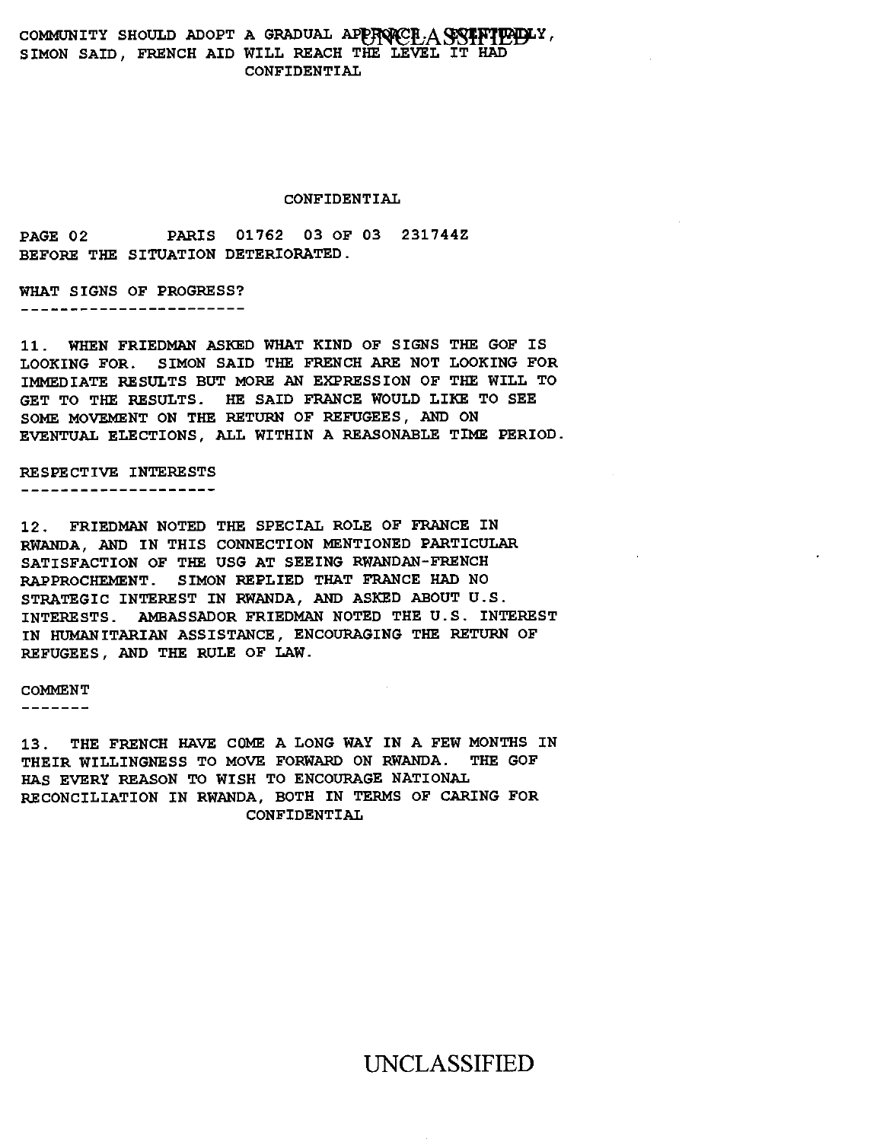### COMMUNITY SHOULD ADOPT A GRADUAL APPROACH,  $\overline{A}$  COMMUNITY, SIMON SAID, FRENCH AID WILL REACH THE LEVEL IT HAD CONFIDENTIAL

#### CONFIDENTIAL

PAGE 02 PARIS 01762 03 OF 03 231744Z BEFORE THE SITUATION DETERIORATED.

WHAT SIGNS OF PROGRESS? \_\_\_\_\_\_\_\_\_\_\_\_\_\_\_\_\_\_\_\_\_\_\_

11. WHEN FRIEDMAN ASKED WHAT KIND OF SIGNS THE GOF IS LOOKING FOR. SIMON SAID THE FRENCH ARE NOT LOOKING FOR IMMEDIATE RESULTS BUT MORE AN EXPRESSION OF THE WILL TO GET TO THE RESULTS. HE SAID FRANCE WOULD LIKE TO SEE SOME MOVEMENT ON THE RETURN OF REFUGEES, AND ON EVENTUAL ELECTIONS, ALL WITHIN A REASONABLE TIME PERIOD.

RESPECTIVE INTERESTS --------------------

12. FRIEDMAN NOTED THE SPECIAL ROLE OF FRANCE IN RWANDA, AND IN THIS CONNECTION MENTIONED PARTICULAR SATISFACTION OF THE USG AT SEEING RWANDAN-FRENCH RAPPROCHEMENT. SIMON REPLIED THAT FRANCE HAD NO STRATEGIC INTEREST IN RWANDA, AND ASKED ABOUT U.S. INTERESTS. AMBASSADOR FRIEDMAN NOTED THE U.S. INTEREST IN HUMANITARIAN ASSISTANCE, ENCOURAGING THE RETURN OF REFUGEES, AND THE RULE OF LAW.

#### COMMENT

-------

13. THE FRENCH HAVE COME A LONG WAY IN A FEW MONTHS IN<br>THEIR WILLINGNESS TO MOVE FORWARD ON RWANDA. THE GOF THEIR WILLINGNESS TO MOVE FORWARD ON RWANDA. HAS EVERY REASON TO WISH TO ENCOURAGE NATIONAL RECONCILIATION IN RWANDA, BOTH IN TERMS OF CARING FOR CONFIDENTIAL